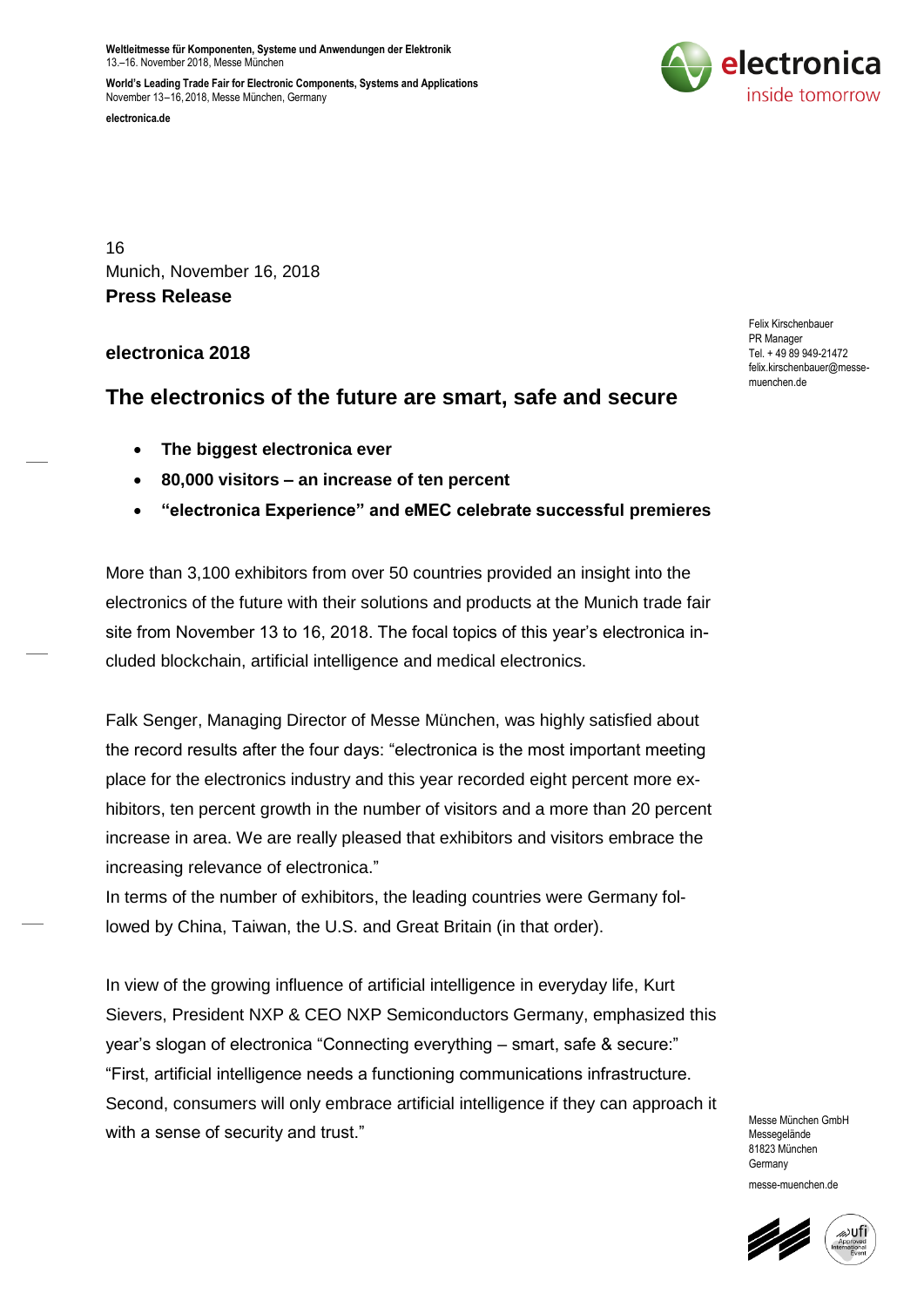**Weltleitmesse für Komponenten, Systeme und Anwendungen der Elektronik** 13.–16. November 2018, Messe München

**World's Leading Trade Fair for Electronic Components, Systems and Applications** November 13–16, 2018, Messe München, Germany **electronica.de**



16 Munich, November 16, 2018 **Press Release**

# **electronica 2018**

# **The electronics of the future are smart, safe and secure**

- **The biggest electronica ever**
- **80,000 visitors – an increase of ten percent**
- **"electronica Experience" and eMEC celebrate successful premieres**

More than 3,100 exhibitors from over 50 countries provided an insight into the electronics of the future with their solutions and products at the Munich trade fair site from November 13 to 16, 2018. The focal topics of this year's electronica included blockchain, artificial intelligence and medical electronics.

Falk Senger, Managing Director of Messe München, was highly satisfied about the record results after the four days: "electronica is the most important meeting place for the electronics industry and this year recorded eight percent more exhibitors, ten percent growth in the number of visitors and a more than 20 percent increase in area. We are really pleased that exhibitors and visitors embrace the increasing relevance of electronica."

In terms of the number of exhibitors, the leading countries were Germany followed by China, Taiwan, the U.S. and Great Britain (in that order).

In view of the growing influence of artificial intelligence in everyday life, Kurt Sievers, President NXP & CEO NXP Semiconductors Germany, emphasized this year's slogan of electronica "Connecting everything – smart, safe & secure:" "First, artificial intelligence needs a functioning communications infrastructure. Second, consumers will only embrace artificial intelligence if they can approach it with a sense of security and trust."

Messe München GmbH Messegelände 81823 München **Germany** messe-muenchen.de



Felix Kirschenbauer PR Manager Tel. + 49 89 949-21472 felix.kirschenbauer@messemuenchen.de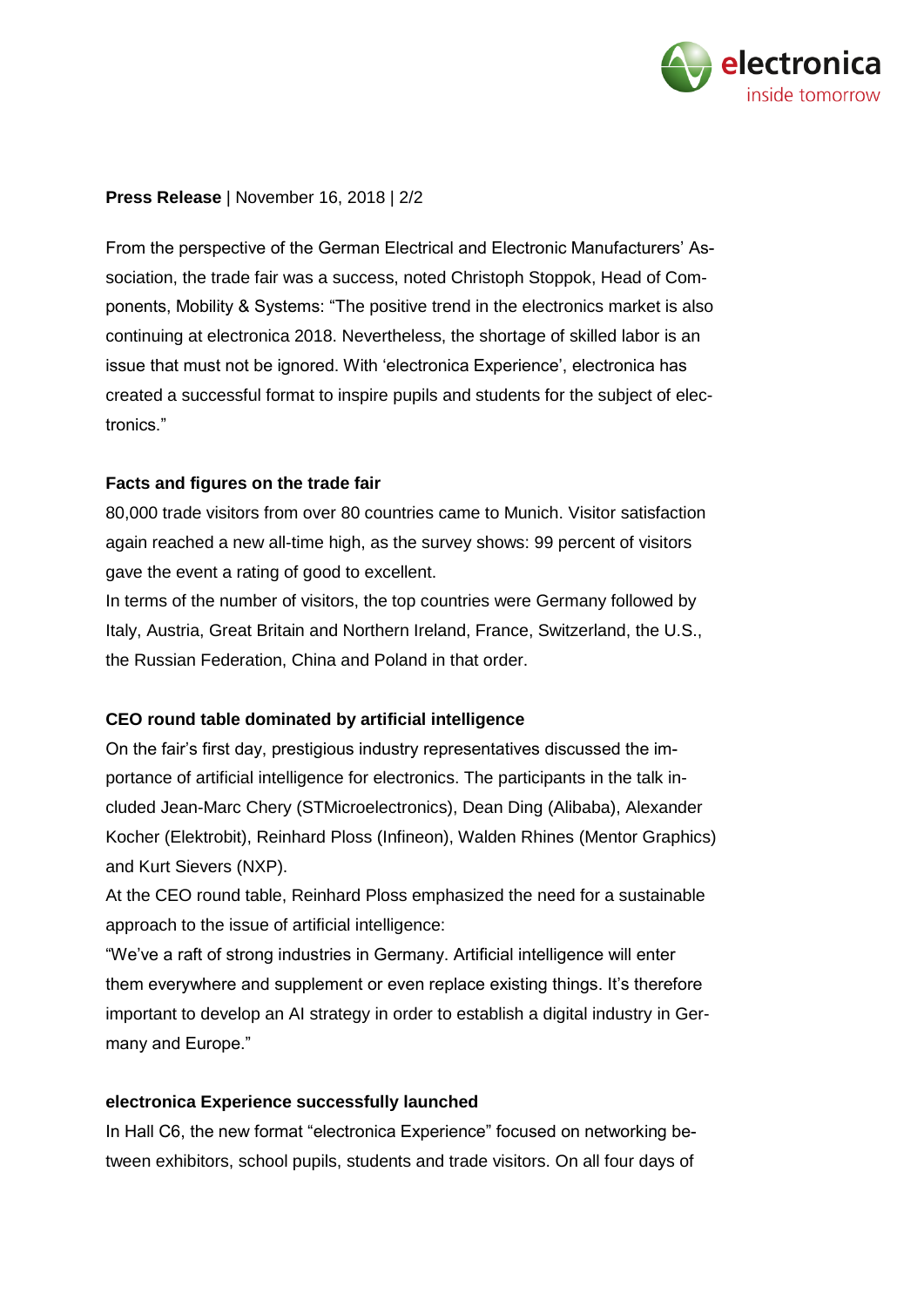

### **Press Release** | November 16, 2018 | 2/2

From the perspective of the German Electrical and Electronic Manufacturers' Association, the trade fair was a success, noted Christoph Stoppok, Head of Components, Mobility & Systems: "The positive trend in the electronics market is also continuing at electronica 2018. Nevertheless, the shortage of skilled labor is an issue that must not be ignored. With 'electronica Experience', electronica has created a successful format to inspire pupils and students for the subject of electronics."

#### **Facts and figures on the trade fair**

80,000 trade visitors from over 80 countries came to Munich. Visitor satisfaction again reached a new all-time high, as the survey shows: 99 percent of visitors gave the event a rating of good to excellent.

In terms of the number of visitors, the top countries were Germany followed by Italy, Austria, Great Britain and Northern Ireland, France, Switzerland, the U.S., the Russian Federation, China and Poland in that order.

### **CEO round table dominated by artificial intelligence**

On the fair's first day, prestigious industry representatives discussed the importance of artificial intelligence for electronics. The participants in the talk included Jean-Marc Chery (STMicroelectronics), Dean Ding (Alibaba), Alexander Kocher (Elektrobit), Reinhard Ploss (Infineon), Walden Rhines (Mentor Graphics) and Kurt Sievers (NXP).

At the CEO round table, Reinhard Ploss emphasized the need for a sustainable approach to the issue of artificial intelligence:

"We've a raft of strong industries in Germany. Artificial intelligence will enter them everywhere and supplement or even replace existing things. It's therefore important to develop an AI strategy in order to establish a digital industry in Germany and Europe."

#### **electronica Experience successfully launched**

In Hall C6, the new format "electronica Experience" focused on networking between exhibitors, school pupils, students and trade visitors. On all four days of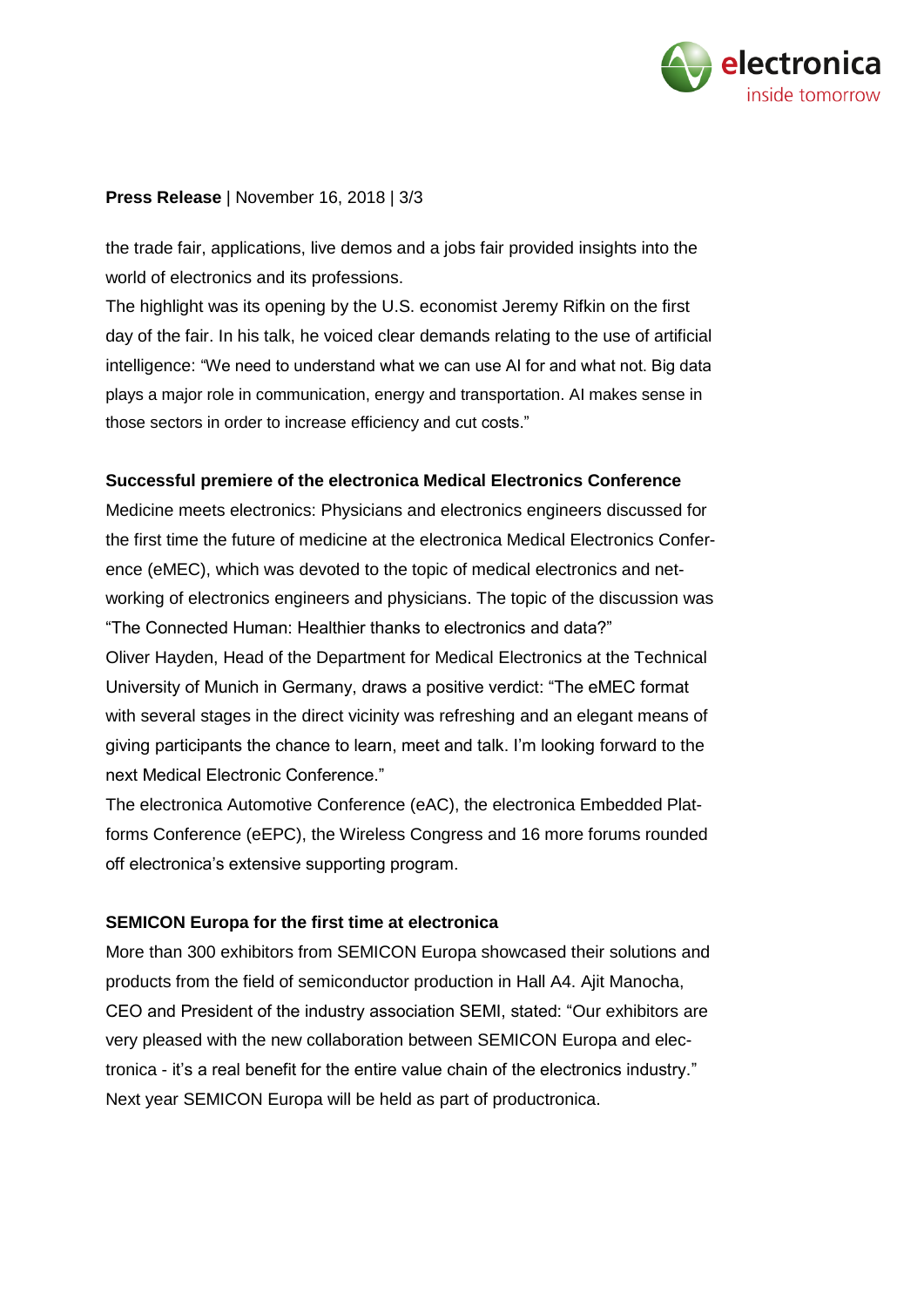

## **Press Release** | November 16, 2018 | 3/3

the trade fair, applications, live demos and a jobs fair provided insights into the world of electronics and its professions.

The highlight was its opening by the U.S. economist Jeremy Rifkin on the first day of the fair. In his talk, he voiced clear demands relating to the use of artificial intelligence: "We need to understand what we can use AI for and what not. Big data plays a major role in communication, energy and transportation. AI makes sense in those sectors in order to increase efficiency and cut costs."

## **Successful premiere of the electronica Medical Electronics Conference**

Medicine meets electronics: Physicians and electronics engineers discussed for the first time the future of medicine at the electronica Medical Electronics Conference (eMEC), which was devoted to the topic of medical electronics and networking of electronics engineers and physicians. The topic of the discussion was "The Connected Human: Healthier thanks to electronics and data?" Oliver Hayden, Head of the Department for Medical Electronics at the Technical University of Munich in Germany, draws a positive verdict: "The eMEC format with several stages in the direct vicinity was refreshing and an elegant means of giving participants the chance to learn, meet and talk. I'm looking forward to the next Medical Electronic Conference."

The electronica Automotive Conference (eAC), the electronica Embedded Platforms Conference (eEPC), the Wireless Congress and 16 more forums rounded off electronica's extensive supporting program.

### **SEMICON Europa for the first time at electronica**

More than 300 exhibitors from SEMICON Europa showcased their solutions and products from the field of semiconductor production in Hall A4. Ajit Manocha, CEO and President of the industry association SEMI, stated: "Our exhibitors are very pleased with the new collaboration between SEMICON Europa and electronica - it's a real benefit for the entire value chain of the electronics industry." Next year SEMICON Europa will be held as part of productronica.